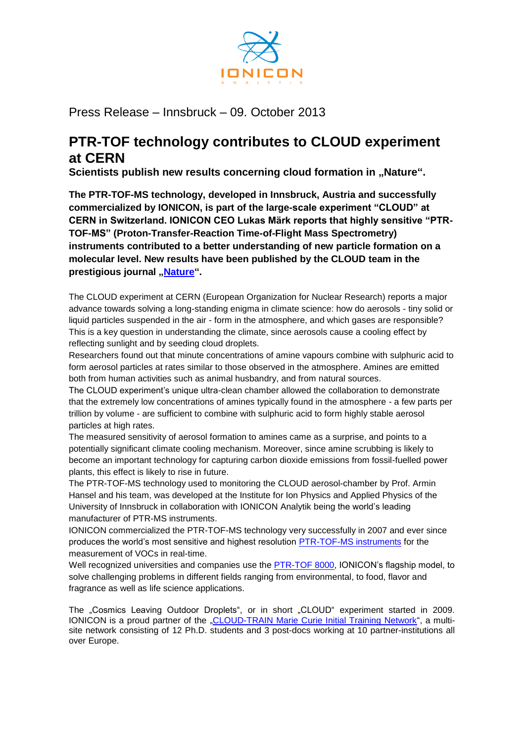

Press Release – Innsbruck – 09. October 2013

## **PTR-TOF technology contributes to CLOUD experiment at CERN**

**Scientists publish new results concerning cloud formation in "Nature".** 

**The PTR-TOF-MS technology, developed in Innsbruck, Austria and successfully commercialized by IONICON, is part of the large-scale experiment "CLOUD" at CERN in Switzerland. IONICON CEO Lukas Märk reports that highly sensitive "PTR-TOF-MS" (Proton-Transfer-Reaction Time-of-Flight Mass Spectrometry) instruments contributed to a better understanding of new particle formation on a molecular level. New results have been published by the CLOUD team in the prestigious journal Nature**"

The CLOUD experiment at CERN (European Organization for Nuclear Research) reports a major advance towards solving a long-standing enigma in climate science: how do aerosols - tiny solid or liquid particles suspended in the air - form in the atmosphere, and which gases are responsible? This is a key question in understanding the climate, since aerosols cause a cooling effect by reflecting sunlight and by seeding cloud droplets.

Researchers found out that minute concentrations of amine vapours combine with sulphuric acid to form aerosol particles at rates similar to those observed in the atmosphere. Amines are emitted both from human activities such as animal husbandry, and from natural sources.

The CLOUD experiment's unique ultra-clean chamber allowed the collaboration to demonstrate that the extremely low concentrations of amines typically found in the atmosphere - a few parts per trillion by volume - are sufficient to combine with sulphuric acid to form highly stable aerosol particles at high rates.

The measured sensitivity of aerosol formation to amines came as a surprise, and points to a potentially significant climate cooling mechanism. Moreover, since amine scrubbing is likely to become an important technology for capturing carbon dioxide emissions from fossil-fuelled power plants, this effect is likely to rise in future.

The PTR-TOF-MS technology used to monitoring the CLOUD aerosol-chamber by Prof. Armin Hansel and his team, was developed at the Institute for Ion Physics and Applied Physics of the University of Innsbruck in collaboration with IONICON Analytik being the world's leading manufacturer of PTR-MS instruments.

IONICON commercialized the PTR-TOF-MS technology very successfully in 2007 and ever since produces the world's most sensitive and highest resolution [PTR-TOF-MS instruments](http://www.ionicon.com/en/products/ptr-ms/ptr-tofms-series) for the measurement of VOCs in real-time.

Well recognized universities and companies use the **PTR-TOF 8000**, IONICON's flagship model, to solve challenging problems in different fields ranging from environmental, to food, flavor and fragrance as well as life science applications.

The "Cosmics Leaving Outdoor Droplets", or in short "CLOUD" experiment started in 2009. IONICON is a proud partner of the ["CLOUD-TRAIN Marie Curie Initial Training Network"](http://www.cloud-train.eu/About_CLOUD-TRAIN.html), a multisite network consisting of 12 Ph.D. students and 3 post-docs working at 10 partner-institutions all over Europe.